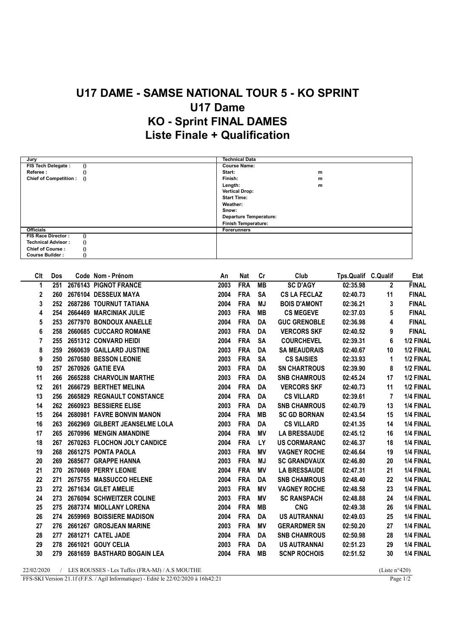## U17 DAME - SAMSE NATIONAL TOUR 5 - KO SPRINT U17 Dame KO - Sprint FINAL DAMES Liste Finale + Qualification

| Jury                                  | <b>Technical Data</b>  |
|---------------------------------------|------------------------|
| FIS Tech Delegate :<br>$\theta$       | <b>Course Name:</b>    |
| Referee:<br>$\theta$                  | Start:<br>m            |
| Chief of Competition: ()              | Finish:<br>m           |
|                                       | Length:<br>m           |
|                                       | <b>Vertical Drop:</b>  |
|                                       | <b>Start Time:</b>     |
|                                       | Weather:               |
|                                       | Snow:                  |
|                                       | Departure Temperature: |
|                                       | Finish Temperature:    |
| <b>Officials</b>                      | <b>Forerunners</b>     |
| FIS Race Director:<br>$\Omega$        |                        |
| $\theta$<br><b>Technical Advisor:</b> |                        |
| $\bf{0}$<br><b>Chief of Course:</b>   |                        |
| $\theta$<br><b>Course Builder:</b>    |                        |

| Clt            | Dos | Code Nom - Prénom              | An   | <b>Nat</b> | Cr        | Club                | Tps.Qualif C.Qualif |              | Etat         |
|----------------|-----|--------------------------------|------|------------|-----------|---------------------|---------------------|--------------|--------------|
| 1              | 251 | 2676143 PIGNOT FRANCE          | 2003 | <b>FRA</b> | <b>MB</b> | <b>SC D'AGY</b>     | 02:35.98            | $\mathbf{2}$ | <b>FINAL</b> |
| 2              | 260 | 2676104 DESSEUX MAYA           | 2004 | <b>FRA</b> | <b>SA</b> | <b>CS LA FECLAZ</b> | 02:40.73            | 11           | <b>FINAL</b> |
| 3              | 252 | 2687286 TOURNUT TATIANA        | 2004 | <b>FRA</b> | <b>MJ</b> | <b>BOIS D'AMONT</b> | 02:36.21            | 3            | <b>FINAL</b> |
| 4              | 254 | 2664469 MARCINIAK JULIE        | 2003 | <b>FRA</b> | <b>MB</b> | <b>CS MEGEVE</b>    | 02:37.03            | 5            | <b>FINAL</b> |
| 5              | 253 | 2677970 BONDOUX ANAELLE        | 2004 | <b>FRA</b> | DA        | <b>GUC GRENOBLE</b> | 02:36.98            | 4            | <b>FINAL</b> |
| 6              | 258 | 2660685 CUCCARO ROMANE         | 2003 | <b>FRA</b> | <b>DA</b> | <b>VERCORS SKF</b>  | 02:40.52            | 9            | <b>FINAL</b> |
| $\overline{7}$ | 255 | 2651312 CONVARD HEIDI          | 2004 | <b>FRA</b> | <b>SA</b> | <b>COURCHEVEL</b>   | 02:39.31            | 6            | 1/2 FINAL    |
| 8              | 259 | 2660639 GAILLARD JUSTINE       | 2003 | <b>FRA</b> | DA        | <b>SA MEAUDRAIS</b> | 02:40.67            | 10           | 1/2 FINAL    |
| 9              | 250 | 2670580 BESSON LEONIE          | 2003 | <b>FRA</b> | <b>SA</b> | <b>CS SAISIES</b>   | 02:33.93            | 1            | 1/2 FINAL    |
| 10             | 257 | 2670926 GATIE EVA              | 2003 | <b>FRA</b> | DA        | <b>SN CHARTROUS</b> | 02:39.90            | 8            | 1/2 FINAL    |
| 11             | 266 | 2665288 CHARVOLIN MARTHE       | 2003 | <b>FRA</b> | DA        | <b>SNB CHAMROUS</b> | 02:45.24            | 17           | 1/2 FINAL    |
| 12             | 261 | 2666729 BERTHET MELINA         | 2004 | <b>FRA</b> | DA        | <b>VERCORS SKF</b>  | 02:40.73            | 11           | 1/2 FINAL    |
| 13             | 256 | 2665829 REGNAULT CONSTANCE     | 2004 | <b>FRA</b> | DA        | <b>CS VILLARD</b>   | 02:39.61            | 7            | 1/4 FINAL    |
| 14             | 262 | 2660923 BESSIERE ELISE         | 2003 | <b>FRA</b> | DA        | <b>SNB CHAMROUS</b> | 02:40.79            | 13           | 1/4 FINAL    |
| 15             | 264 | 2680981 FAVRE BONVIN MANON     | 2004 | <b>FRA</b> | <b>MB</b> | <b>SC GD BORNAN</b> | 02:43.54            | 15           | 1/4 FINAL    |
| 16             | 263 | 2662969 GILBERT JEANSELME LOLA | 2003 | <b>FRA</b> | <b>DA</b> | <b>CS VILLARD</b>   | 02:41.35            | 14           | 1/4 FINAL    |
| 17             | 265 | 2670996 MENGIN AMANDINE        | 2004 | <b>FRA</b> | ΜV        | <b>LA BRESSAUDE</b> | 02:45.12            | 16           | 1/4 FINAL    |
| 18             | 267 | 2670263 FLOCHON JOLY CANDICE   | 2004 | <b>FRA</b> | <b>LY</b> | <b>US CORMARANC</b> | 02:46.37            | 18           | 1/4 FINAL    |
| 19             | 268 | 2661275 PONTA PAOLA            | 2003 | <b>FRA</b> | ΜV        | <b>VAGNEY ROCHE</b> | 02:46.64            | 19           | 1/4 FINAL    |
| 20             | 269 | 2685677 GRAPPE HANNA           | 2003 | <b>FRA</b> | MJ        | <b>SC GRANDVAUX</b> | 02:46.80            | 20           | 1/4 FINAL    |
| 21             | 270 | 2670669 PERRY LEONIE           | 2004 | <b>FRA</b> | <b>MV</b> | <b>LA BRESSAUDE</b> | 02:47.31            | 21           | 1/4 FINAL    |
| 22             | 271 | 2675755 MASSUCCO HELENE        | 2004 | <b>FRA</b> | DA        | <b>SNB CHAMROUS</b> | 02:48.40            | 22           | 1/4 FINAL    |
| 23             | 272 | 2671634 GILET AMELIE           | 2003 | <b>FRA</b> | ΜV        | <b>VAGNEY ROCHE</b> | 02:48.58            | 23           | 1/4 FINAL    |
| 24             | 273 | 2676094 SCHWEITZER COLINE      | 2003 | <b>FRA</b> | ΜV        | <b>SC RANSPACH</b>  | 02:48.88            | 24           | 1/4 FINAL    |
| 25             | 275 | 2687374 MIOLLANY LORENA        | 2004 | <b>FRA</b> | MВ        | <b>CNG</b>          | 02:49.38            | 26           | 1/4 FINAL    |
| 26             | 274 | 2659969 BOISSIERE MADISON      | 2004 | <b>FRA</b> | <b>DA</b> | <b>US AUTRANNAI</b> | 02:49.03            | 25           | 1/4 FINAL    |
| 27             | 276 | 2661267 GROSJEAN MARINE        | 2003 | <b>FRA</b> | ΜV        | <b>GERARDMER SN</b> | 02:50.20            | 27           | 1/4 FINAL    |
| 28             | 277 | 2681271 CATEL JADE             | 2004 | <b>FRA</b> | DA        | <b>SNB CHAMROUS</b> | 02:50.98            | 28           | 1/4 FINAL    |
| 29             | 278 | 2661021 GOUY CELIA             | 2003 | <b>FRA</b> | DA        | <b>US AUTRANNAI</b> | 02:51.23            | 29           | 1/4 FINAL    |
| 30             | 279 | 2681659 BASTHARD BOGAIN LEA    | 2004 | <b>FRA</b> | MВ        | <b>SCNP ROCHOIS</b> | 02:51.52            | 30           | 1/4 FINAL    |
|                |     |                                |      |            |           |                     |                     |              |              |

22/02/2020 / LES ROUSSES - Les Tuffes (FRA-MJ) / A.S MOUTHE (Liste n°420)<br>FFS-SKI Version 21.1f (F.F.S. / Agil Informatique) - Edité le 22/02/2020 à 16h42:21 Page 1/2

FFS-SKI Version 21.1f (F.F.S. / Agil Informatique) - Edité le 22/02/2020 à 16h42:21